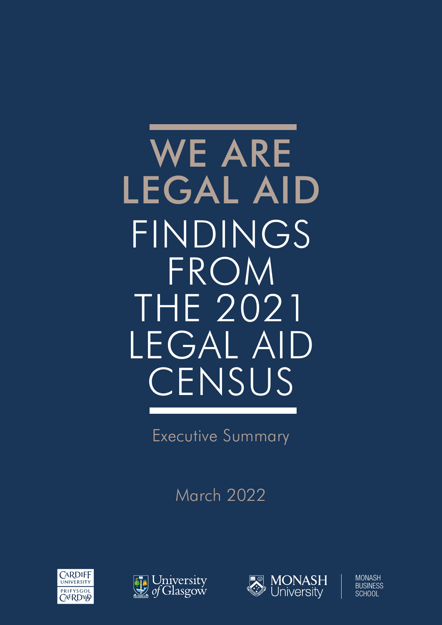WE ARE LEGAL AID FINDINGS FROM THE 2021 LEGAL AID **CENSUS** 

Executive Summary

March 2022







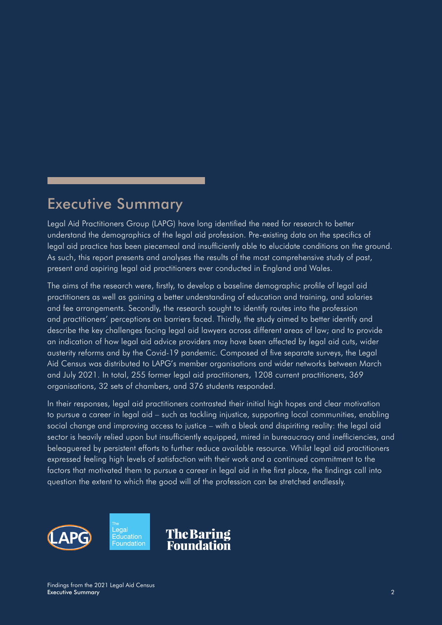# Executive Summary

Legal Aid Practitioners Group (LAPG) have long identified the need for research to better understand the demographics of the legal aid profession. Pre-existing data on the specifics of legal aid practice has been piecemeal and insufficiently able to elucidate conditions on the ground. As such, this report presents and analyses the results of the most comprehensive study of past, present and aspiring legal aid practitioners ever conducted in England and Wales.

The aims of the research were, firstly, to develop a baseline demographic profile of legal aid practitioners as well as gaining a better understanding of education and training, and salaries and fee arrangements. Secondly, the research sought to identify routes into the profession and practitioners' perceptions on barriers faced. Thirdly, the study aimed to better identify and describe the key challenges facing legal aid lawyers across different areas of law; and to provide an indication of how legal aid advice providers may have been affected by legal aid cuts, wider austerity reforms and by the Covid-19 pandemic. Composed of five separate surveys, the Legal Aid Census was distributed to LAPG's member organisations and wider networks between March and July 2021. In total, 255 former legal aid practitioners, 1208 current practitioners, 369 organisations, 32 sets of chambers, and 376 students responded.

In their responses, legal aid practitioners contrasted their initial high hopes and clear motivation to pursue a career in legal aid – such as tackling injustice, supporting local communities, enabling social change and improving access to justice – with a bleak and dispiriting reality: the legal aid sector is heavily relied upon but insufficiently equipped, mired in bureaucracy and inefficiencies, and beleaguered by persistent efforts to further reduce available resource. Whilst legal aid practitioners expressed feeling high levels of satisfaction with their work and a continued commitment to the factors that motivated them to pursue a career in legal aid in the first place, the findings call into question the extent to which the good will of the profession can be stretched endlessly.

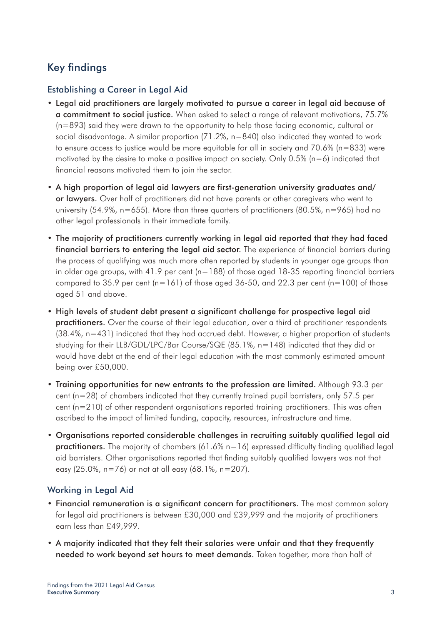# Key findings

## Establishing a Career in Legal Aid

- Legal aid practitioners are largely motivated to pursue a career in legal aid because of a commitment to social justice. When asked to select a range of relevant motivations, 75.7% (n=893) said they were drawn to the opportunity to help those facing economic, cultural or social disadvantage. A similar proportion (71.2%, n=840) also indicated they wanted to work to ensure access to justice would be more equitable for all in society and 70.6% (n=833) were motivated by the desire to make a positive impact on society. Only  $0.5\%$  (n=6) indicated that financial reasons motivated them to join the sector.
- A high proportion of legal aid lawyers are first-generation university graduates and/ or lawyers. Over half of practitioners did not have parents or other caregivers who went to university (54.9%,  $n=655$ ). More than three quarters of practitioners (80.5%,  $n=965$ ) had no other legal professionals in their immediate family.
- The majority of practitioners currently working in legal aid reported that they had faced financial barriers to entering the legal aid sector. The experience of financial barriers during the process of qualifying was much more often reported by students in younger age groups than in older age groups, with 41.9 per cent (n=188) of those aged 18-35 reporting financial barriers compared to 35.9 per cent  $(n=161)$  of those aged 36-50, and 22.3 per cent  $(n=100)$  of those aged 51 and above.
- High levels of student debt present a significant challenge for prospective legal aid practitioners. Over the course of their legal education, over a third of practitioner respondents (38.4%, n=431) indicated that they had accrued debt. However, a higher proportion of students studying for their LLB/GDL/LPC/Bar Course/SQE (85.1%, n=148) indicated that they did or would have debt at the end of their legal education with the most commonly estimated amount being over £50,000.
- Training opportunities for new entrants to the profession are limited. Although 93.3 per cent (n=28) of chambers indicated that they currently trained pupil barristers, only 57.5 per cent (n=210) of other respondent organisations reported training practitioners. This was often ascribed to the impact of limited funding, capacity, resources, infrastructure and time.
- Organisations reported considerable challenges in recruiting suitably qualified legal aid **practitioners.** The majority of chambers  $(61.6\% n=16)$  expressed difficulty finding qualified legal aid barristers. Other organisations reported that finding suitably qualified lawyers was not that easy (25.0%, n=76) or not at all easy (68.1%, n=207).

## Working in Legal Aid

- Financial remuneration is a significant concern for practitioners. The most common salary for legal aid practitioners is between £30,000 and £39,999 and the majority of practitioners earn less than £49,999.
- A majority indicated that they felt their salaries were unfair and that they frequently needed to work beyond set hours to meet demands. Taken together, more than half of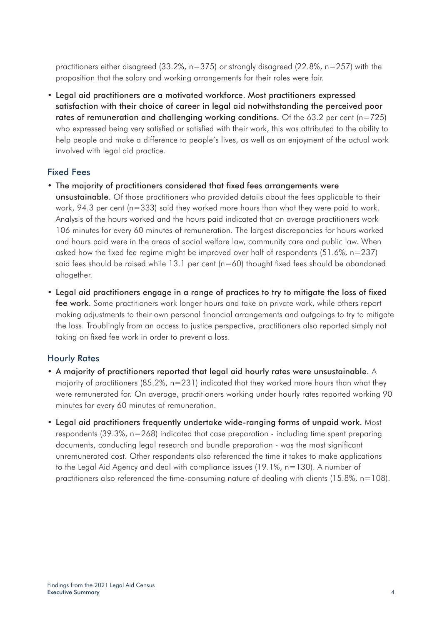practitioners either disagreed (33.2%, n=375) or strongly disagreed (22.8%, n=257) with the proposition that the salary and working arrangements for their roles were fair.

• Legal aid practitioners are a motivated workforce. Most practitioners expressed satisfaction with their choice of career in legal aid notwithstanding the perceived poor rates of remuneration and challenging working conditions. Of the 63.2 per cent  $(n=725)$ who expressed being very satisfied or satisfied with their work, this was attributed to the ability to help people and make a difference to people's lives, as well as an enjoyment of the actual work involved with legal aid practice.

#### Fixed Fees

- The majority of practitioners considered that fixed fees arrangements were unsustainable. Of those practitioners who provided details about the fees applicable to their work, 94.3 per cent (n=333) said they worked more hours than what they were paid to work. Analysis of the hours worked and the hours paid indicated that on average practitioners work 106 minutes for every 60 minutes of remuneration. The largest discrepancies for hours worked and hours paid were in the areas of social welfare law, community care and public law. When asked how the fixed fee regime might be improved over half of respondents (51.6%, n=237) said fees should be raised while  $13.1$  per cent ( $n=60$ ) thought fixed fees should be abandoned altogether.
- Legal aid practitioners engage in a range of practices to try to mitigate the loss of fixed fee work. Some practitioners work longer hours and take on private work, while others report making adjustments to their own personal financial arrangements and outgoings to try to mitigate the loss. Troublingly from an access to justice perspective, practitioners also reported simply not taking on fixed fee work in order to prevent a loss.

## Hourly Rates

- A majority of practitioners reported that legal aid hourly rates were unsustainable. A majority of practitioners (85.2%, n=231) indicated that they worked more hours than what they were remunerated for. On average, practitioners working under hourly rates reported working 90 minutes for every 60 minutes of remuneration.
- Legal aid practitioners frequently undertake wide-ranging forms of unpaid work. Most respondents (39.3%, n=268) indicated that case preparation - including time spent preparing documents, conducting legal research and bundle preparation - was the most significant unremunerated cost. Other respondents also referenced the time it takes to make applications to the Legal Aid Agency and deal with compliance issues (19.1%, n=130). A number of practitioners also referenced the time-consuming nature of dealing with clients (15.8%, n=108).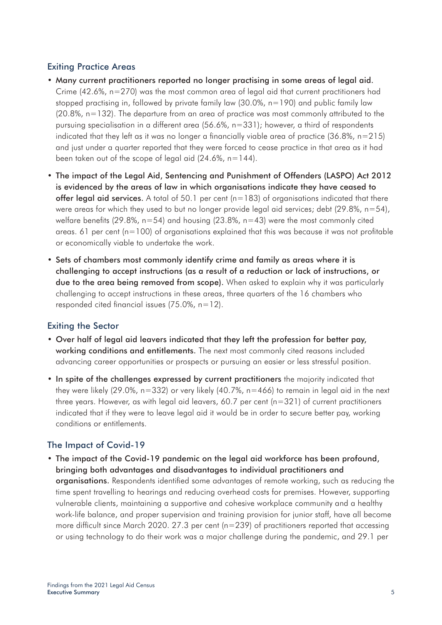#### Exiting Practice Areas

- Many current practitioners reported no longer practising in some areas of legal aid. Crime (42.6%, n=270) was the most common area of legal aid that current practitioners had stopped practising in, followed by private family law  $(30.0\% , n=190)$  and public family law  $(20.8\% , n=132)$ . The departure from an area of practice was most commonly attributed to the pursuing specialisation in a different area (56.6%, n=331); however, a third of respondents indicated that they left as it was no longer a financially viable area of practice (36.8%, n=215) and just under a quarter reported that they were forced to cease practice in that area as it had been taken out of the scope of legal aid  $(24.6\% , n=144)$ .
- The impact of the Legal Aid, Sentencing and Punishment of Offenders (LASPO) Act 2012 is evidenced by the areas of law in which organisations indicate they have ceased to offer legal aid services. A total of 50.1 per cent ( $n=183$ ) of organisations indicated that there were areas for which they used to but no longer provide legal aid services; debt (29.8%, n=54), welfare benefits (29.8%,  $n=54$ ) and housing (23.8%,  $n=43$ ) were the most commonly cited areas. 61 per cent ( $n=100$ ) of organisations explained that this was because it was not profitable or economically viable to undertake the work.
- Sets of chambers most commonly identify crime and family as areas where it is challenging to accept instructions (as a result of a reduction or lack of instructions, or due to the area being removed from scope). When asked to explain why it was particularly challenging to accept instructions in these areas, three quarters of the 16 chambers who responded cited financial issues (75.0%, n=12).

#### Exiting the Sector

- Over half of legal aid leavers indicated that they left the profession for better pay, working conditions and entitlements. The next most commonly cited reasons included advancing career opportunities or prospects or pursuing an easier or less stressful position.
- In spite of the challenges expressed by current practitioners the majority indicated that they were likely (29.0%,  $n=332$ ) or very likely (40.7%,  $n=466$ ) to remain in legal aid in the next three years. However, as with legal aid leavers, 60.7 per cent (n=321) of current practitioners indicated that if they were to leave legal aid it would be in order to secure better pay, working conditions or entitlements.

## The Impact of Covid-19

• The impact of the Covid-19 pandemic on the legal aid workforce has been profound, bringing both advantages and disadvantages to individual practitioners and organisations. Respondents identified some advantages of remote working, such as reducing the time spent travelling to hearings and reducing overhead costs for premises. However, supporting vulnerable clients, maintaining a supportive and cohesive workplace community and a healthy work-life balance, and proper supervision and training provision for junior staff, have all become more difficult since March 2020. 27.3 per cent (n=239) of practitioners reported that accessing or using technology to do their work was a major challenge during the pandemic, and 29.1 per